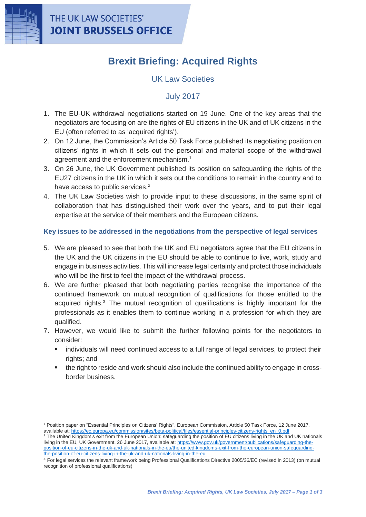

 $\overline{a}$ 

# **Brexit Briefing: Acquired Rights**

## UK Law Societies

### July 2017

- 1. The EU-UK withdrawal negotiations started on 19 June. One of the key areas that the negotiators are focusing on are the rights of EU citizens in the UK and of UK citizens in the EU (often referred to as 'acquired rights').
- 2. On 12 June, the Commission's Article 50 Task Force published its negotiating position on citizens' rights in which it sets out the personal and material scope of the withdrawal agreement and the enforcement mechanism.<sup>1</sup>
- 3. On 26 June, the UK Government published its position on safeguarding the rights of the EU27 citizens in the UK in which it sets out the conditions to remain in the country and to have access to public services.<sup>2</sup>
- 4. The UK Law Societies wish to provide input to these discussions, in the same spirit of collaboration that has distinguished their work over the years, and to put their legal expertise at the service of their members and the European citizens.

#### **Key issues to be addressed in the negotiations from the perspective of legal services**

- 5. We are pleased to see that both the UK and EU negotiators agree that the EU citizens in the UK and the UK citizens in the EU should be able to continue to live, work, study and engage in business activities. This will increase legal certainty and protect those individuals who will be the first to feel the impact of the withdrawal process.
- 6. We are further pleased that both negotiating parties recognise the importance of the continued framework on mutual recognition of qualifications for those entitled to the acquired rights.<sup>3</sup> The mutual recognition of qualifications is highly important for the professionals as it enables them to continue working in a profession for which they are qualified.
- 7. However, we would like to submit the further following points for the negotiators to consider:
	- individuals will need continued access to a full range of legal services, to protect their rights; and
	- the right to reside and work should also include the continued ability to engage in crossborder business.

<sup>1</sup> Position paper on "Essential Principles on Citizens' Rights", European Commission, Article 50 Task Force, 12 June 2017, available at: [https://ec.europa.eu/commission/sites/beta-political/files/essential-principles-citizens-rights\\_en\\_0.pdf](https://ec.europa.eu/commission/sites/beta-political/files/essential-principles-citizens-rights_en_0.pdf)

<sup>&</sup>lt;sup>2</sup> The United Kingdom's exit from the European Union: safeguarding the position of EU citizens living in the UK and UK nationals living in the EU, UK Government, 26 June 2017, available at[: https://www.gov.uk/government/publications/safeguarding-the](https://www.gov.uk/government/publications/safeguarding-the-position-of-eu-citizens-in-the-uk-and-uk-nationals-in-the-eu/the-united-kingdoms-exit-from-the-european-union-safeguarding-the-position-of-eu-citizens-living-in-the-uk-and-uk-nationals-living-in-the-eu)[position-of-eu-citizens-in-the-uk-and-uk-nationals-in-the-eu/the-united-kingdoms-exit-from-the-european-union-safeguarding](https://www.gov.uk/government/publications/safeguarding-the-position-of-eu-citizens-in-the-uk-and-uk-nationals-in-the-eu/the-united-kingdoms-exit-from-the-european-union-safeguarding-the-position-of-eu-citizens-living-in-the-uk-and-uk-nationals-living-in-the-eu)[the-position-of-eu-citizens-living-in-the-uk-and-uk-nationals-living-in-the-eu](https://www.gov.uk/government/publications/safeguarding-the-position-of-eu-citizens-in-the-uk-and-uk-nationals-in-the-eu/the-united-kingdoms-exit-from-the-european-union-safeguarding-the-position-of-eu-citizens-living-in-the-uk-and-uk-nationals-living-in-the-eu)

<sup>3</sup> For legal services the relevant framework being Professional Qualifications Directive 2005/36/EC (revised in 2013) (on mutual recognition of professional qualifications)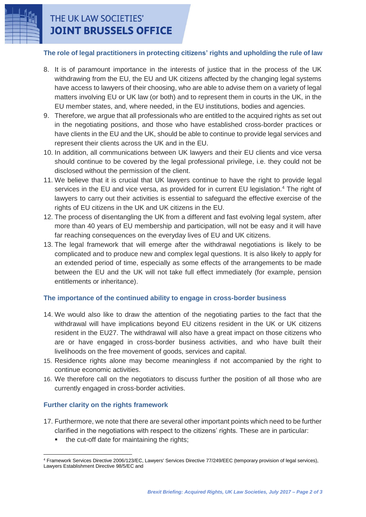

## THE UK LAW SOCIETIES' **JOINT BRUSSELS OFFICE**

#### **The role of legal practitioners in protecting citizens' rights and upholding the rule of law**

- 8. It is of paramount importance in the interests of justice that in the process of the UK withdrawing from the EU, the EU and UK citizens affected by the changing legal systems have access to lawyers of their choosing, who are able to advise them on a variety of legal matters involving EU or UK law (or both) and to represent them in courts in the UK, in the EU member states, and, where needed, in the EU institutions, bodies and agencies.
- 9. Therefore, we argue that all professionals who are entitled to the acquired rights as set out in the negotiating positions, and those who have established cross-border practices or have clients in the EU and the UK, should be able to continue to provide legal services and represent their clients across the UK and in the EU.
- 10. In addition, all communications between UK lawyers and their EU clients and vice versa should continue to be covered by the legal professional privilege, i.e. they could not be disclosed without the permission of the client.
- 11. We believe that it is crucial that UK lawyers continue to have the right to provide legal services in the EU and vice versa, as provided for in current EU legislation.<sup>4</sup> The right of lawyers to carry out their activities is essential to safeguard the effective exercise of the rights of EU citizens in the UK and UK citizens in the EU.
- 12. The process of disentangling the UK from a different and fast evolving legal system, after more than 40 years of EU membership and participation, will not be easy and it will have far reaching consequences on the everyday lives of EU and UK citizens.
- 13. The legal framework that will emerge after the withdrawal negotiations is likely to be complicated and to produce new and complex legal questions. It is also likely to apply for an extended period of time, especially as some effects of the arrangements to be made between the EU and the UK will not take full effect immediately (for example, pension entitlements or inheritance).

### **The importance of the continued ability to engage in cross-border business**

- 14. We would also like to draw the attention of the negotiating parties to the fact that the withdrawal will have implications beyond EU citizens resident in the UK or UK citizens resident in the EU27. The withdrawal will also have a great impact on those citizens who are or have engaged in cross-border business activities, and who have built their livelihoods on the free movement of goods, services and capital.
- 15. Residence rights alone may become meaningless if not accompanied by the right to continue economic activities.
- 16. We therefore call on the negotiators to discuss further the position of all those who are currently engaged in cross-border activities.

### **Further clarity on the rights framework**

- 17. Furthermore, we note that there are several other important points which need to be further clarified in the negotiations with respect to the citizens' rights. These are in particular:
	- the cut-off date for maintaining the rights;

 $\overline{a}$ <sup>4</sup> Framework Services Directive 2006/123/EC, Lawyers' Services Directive 77/249/EEC (temporary provision of legal services), Lawyers Establishment Directive 98/5/EC and